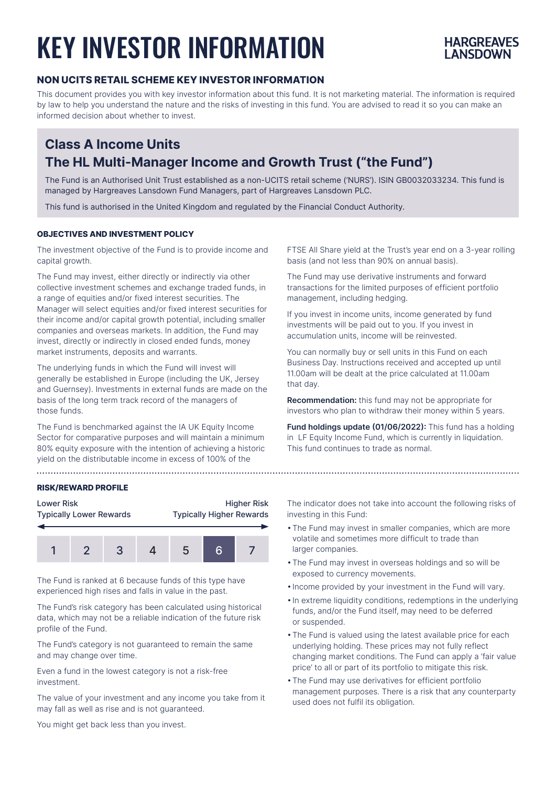# KEY INVESTOR INFORMATION



# **NON UCITS RETAIL SCHEME KEY INVESTOR INFORMATION**

This document provides you with key investor information about this fund. It is not marketing material. The information is required by law to help you understand the nature and the risks of investing in this fund. You are advised to read it so you can make an informed decision about whether to invest.

# **Class A Income Units The HL Multi-Manager Income and Growth Trust ("the Fund")**

The Fund is an Authorised Unit Trust established as a non-UCITS retail scheme ('NURS'). ISIN GB0032033234. This fund is managed by Hargreaves Lansdown Fund Managers, part of Hargreaves Lansdown PLC.

This fund is authorised in the United Kingdom and regulated by the Financial Conduct Authority.

### **OBJECTIVES AND INVESTMENT POLICY**

The investment objective of the Fund is to provide income and capital growth.

The Fund may invest, either directly or indirectly via other collective investment schemes and exchange traded funds, in a range of equities and/or fixed interest securities. The Manager will select equities and/or fixed interest securities for their income and/or capital growth potential, including smaller companies and overseas markets. In addition, the Fund may invest, directly or indirectly in closed ended funds, money market instruments, deposits and warrants.

The underlying funds in which the Fund will invest will generally be established in Europe (including the UK, Jersey and Guernsey). Investments in external funds are made on the basis of the long term track record of the managers of those funds.

The Fund is benchmarked against the IA UK Equity Income Sector for comparative purposes and will maintain a minimum 80% equity exposure with the intention of achieving a historic yield on the distributable income in excess of 100% of the

FTSE All Share yield at the Trust's year end on a 3-year rolling basis (and not less than 90% on annual basis).

The Fund may use derivative instruments and forward transactions for the limited purposes of efficient portfolio management, including hedging.

If you invest in income units, income generated by fund investments will be paid out to you. If you invest in accumulation units, income will be reinvested.

You can normally buy or sell units in this Fund on each Business Day. Instructions received and accepted up until 11.00am will be dealt at the price calculated at 11.00am that day.

**Recommendation:** this fund may not be appropriate for investors who plan to withdraw their money within 5 years.

**Fund holdings update (01/06/2022):** This fund has a holding in LF Equity Income Fund, which is currently in liquidation. This fund continues to trade as normal.

#### **RISK/REWARD PROFILE**



The Fund is ranked at 6 because funds of this type have experienced high rises and falls in value in the past.

The Fund's risk category has been calculated using historical data, which may not be a reliable indication of the future risk profile of the Fund.

The Fund's category is not guaranteed to remain the same and may change over time.

Even a fund in the lowest category is not a risk-free investment.

The value of your investment and any income you take from it may fall as well as rise and is not guaranteed.

The indicator does not take into account the following risks of investing in this Fund:

- The Fund may invest in smaller companies, which are more volatile and sometimes more difficult to trade than larger companies.
- The Fund may invest in overseas holdings and so will be exposed to currency movements.
- Income provided by your investment in the Fund will vary.
- In extreme liquidity conditions, redemptions in the underlying funds, and/or the Fund itself, may need to be deferred or suspended.
- The Fund is valued using the latest available price for each underlying holding. These prices may not fully reflect changing market conditions. The Fund can apply a 'fair value price' to all or part of its portfolio to mitigate this risk.
- The Fund may use derivatives for efficient portfolio management purposes. There is a risk that any counterparty used does not fulfil its obligation.

You might get back less than you invest.